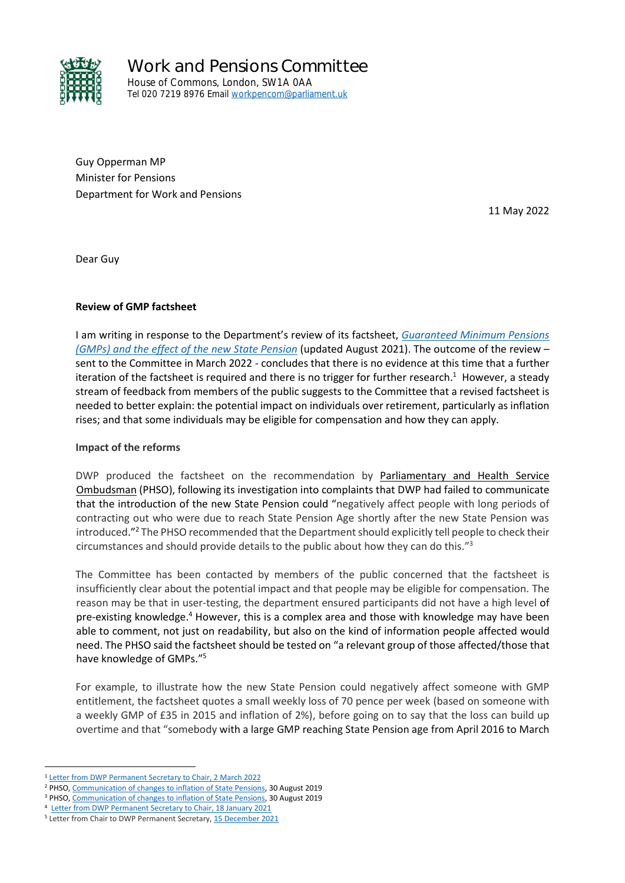

Work and Pensions Committee House of Commons, London, SW1A 0AA Tel 020 7219 8976 Emai[l workpencom@parliament.uk](mailto:workpencom@parliament.uk)

Guy Opperman MP Minister for Pensions Department for Work and Pensions

11 May 2022

Dear Guy

### **Review of GMP factsheet**

I am writing in response to the Department's review of its factsheet, *[Guaranteed Minimum Pensions](https://www.gov.uk/government/publications/new-state-pension-if-youve-been-contracted-out-of-additional-state-pension/guaranteed-minimum-pension-gmp-and-the-effect-of-the-new-state-pension)  [\(GMPs\) and the effect of the new State Pension](https://www.gov.uk/government/publications/new-state-pension-if-youve-been-contracted-out-of-additional-state-pension/guaranteed-minimum-pension-gmp-and-the-effect-of-the-new-state-pension)* (updated August 2021). The outcome of the review – sent to the Committee in March 2022 - concludes that there is no evidence at this time that a further iteration of the factsheet is required and there is no trigger for further research.<sup>1</sup> However, a steady stream of feedback from members of the public suggests to the Committee that a revised factsheet is needed to better explain: the potential impact on individuals over retirement, particularly as inflation rises; and that some individuals may be eligible for compensation and how they can apply.

### **Impact of the reforms**

DWP produced the factsheet on the recommendation by [Parliamentary and Health Service](https://www.ombudsman.org.uk/making-complaint/what-we-can-and-cant-help/how-we-have-helped-others/communication-changes-inflation-state-pensions)  [Ombudsman](https://www.ombudsman.org.uk/making-complaint/what-we-can-and-cant-help/how-we-have-helped-others/communication-changes-inflation-state-pensions) (PHSO), following its investigation into complaints that DWP had failed to communicate that the introduction of the new State Pension could "negatively affect people with long periods of contracting out who were due to reach State Pension Age shortly after the new State Pension was introduced."<sup>2</sup> The PHSO recommended that the Department should explicitly tell people to check their circumstances and should provide details to the public about how they can do this." 3

The Committee has been contacted by members of the public concerned that the factsheet is insufficiently clear about the potential impact and that people may be eligible for compensation. The reason may be that in user-testing, the department ensured participants did not have a high level of pre-existing knowledge.<sup>4</sup> However, this is a complex area and those with knowledge may have been able to comment, not just on readability, but also on the kind of information people affected would need. The PHSO said the factsheet should be tested on "a relevant group of those affected/those that have knowledge of GMPs."<sup>5</sup>

For example, to illustrate how the new State Pension could negatively affect someone with GMP entitlement, the factsheet quotes a small weekly loss of 70 pence per week (based on someone with a weekly GMP of £35 in 2015 and inflation of 2%), before going on to say that the loss can build up overtime and that "somebody with a large GMP reaching State Pension age from April 2016 to March

<sup>1</sup> [Letter from DWP Permanent Secretary to Chair, 2 March 2022](https://committees.parliament.uk/publications/9233/documents/159928/default/)

<sup>&</sup>lt;sup>2</sup> PHSO[, Communication of changes to inflation of State Pensions,](https://www.ombudsman.org.uk/making-complaint/what-we-can-and-cant-help/how-we-have-helped-others/communication-changes-inflation-state-pensions) 30 August 2019

<sup>3</sup> PHSO[, Communication of changes to inflation of State Pensions,](https://www.ombudsman.org.uk/making-complaint/what-we-can-and-cant-help/how-we-have-helped-others/communication-changes-inflation-state-pensions) 30 August 2019

<sup>4</sup>  [Letter from DWP Permanent Secretary to Chair, 18 January 2021](https://committees.parliament.uk/publications/8679/documents/88192/default/)

<sup>&</sup>lt;sup>5</sup> Letter from Chair to DWP Permanent Secretary, [15 December 2021](https://committees.parliament.uk/publications/8334/documents/84751/default/)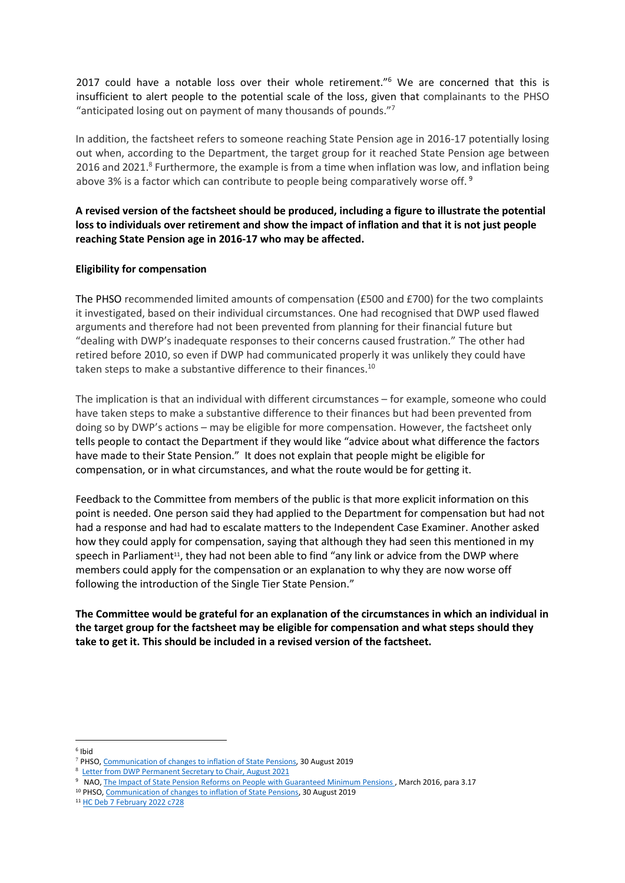2017 could have a notable loss over their whole retirement."<sup>6</sup> We are concerned that this is insufficient to alert people to the potential scale of the loss, given that complainants to the PHSO "anticipated losing out on payment of many thousands of pounds." $7$ 

In addition, the factsheet refers to someone reaching State Pension age in 2016-17 potentially losing out when, according to the Department, the target group for it reached State Pension age between 2016 and 2021.<sup>8</sup> Furthermore, the example is from a time when inflation was low, and inflation being above 3% is a factor which can contribute to people being comparatively worse off. <sup>9</sup>

# **A revised version of the factsheet should be produced, including a figure to illustrate the potential loss to individuals over retirement and show the impact of inflation and that it is not just people reaching State Pension age in 2016-17 who may be affected.**

### **Eligibility for compensation**

The PHSO recommended limited amounts of compensation (£500 and £700) for the two complaints it investigated, based on their individual circumstances. One had recognised that DWP used flawed arguments and therefore had not been prevented from planning for their financial future but "dealing with DWP's inadequate responses to their concerns caused frustration." The other had retired before 2010, so even if DWP had communicated properly it was unlikely they could have taken steps to make a substantive difference to their finances.<sup>10</sup>

The implication is that an individual with different circumstances – for example, someone who could have taken steps to make a substantive difference to their finances but had been prevented from doing so by DWP's actions – may be eligible for more compensation. However, the factsheet only tells people to contact the Department if they would like "advice about what difference the factors have made to their State Pension." It does not explain that people might be eligible for compensation, or in what circumstances, and what the route would be for getting it.

Feedback to the Committee from members of the public is that more explicit information on this point is needed. One person said they had applied to the Department for compensation but had not had a response and had had to escalate matters to the Independent Case Examiner. Another asked how they could apply for compensation, saying that although they had seen this mentioned in my speech in Parliament<sup>11</sup>, they had not been able to find "any link or advice from the DWP where members could apply for the compensation or an explanation to why they are now worse off following the introduction of the Single Tier State Pension."

**The Committee would be grateful for an explanation of the circumstances in which an individual in the target group for the factsheet may be eligible for compensation and what steps should they take to get it. This should be included in a revised version of the factsheet.**

<sup>6</sup> Ibid

<sup>7</sup> PHSO[, Communication of changes to inflation of State Pensions,](https://www.ombudsman.org.uk/making-complaint/what-we-can-and-cant-help/how-we-have-helped-others/communication-changes-inflation-state-pensions) 30 August 2019

<sup>8</sup> [Letter from DWP Permanent Secretary to Chair, August 2021](https://committees.parliament.uk/publications/7061/documents/74388/default/)

<sup>&</sup>lt;sup>9</sup> NAO, <u>The Impact of State Pension Reforms on People with Guaranteed Minimum Pensions</u>, March 2016, para 3.17

<sup>&</sup>lt;sup>10</sup> PHSO, [Communication of changes to inflation of State Pensions,](https://www.ombudsman.org.uk/making-complaint/what-we-can-and-cant-help/how-we-have-helped-others/communication-changes-inflation-state-pensions) 30 August 2019

<sup>11</sup> HC Deb [7 February 2022 c728](https://hansard.parliament.uk/Commons/2022-02-07/debates/CCBCEC9D-2179-444F-BD02-1A3ADAA3D3F3/SocialSecurityAndPensions)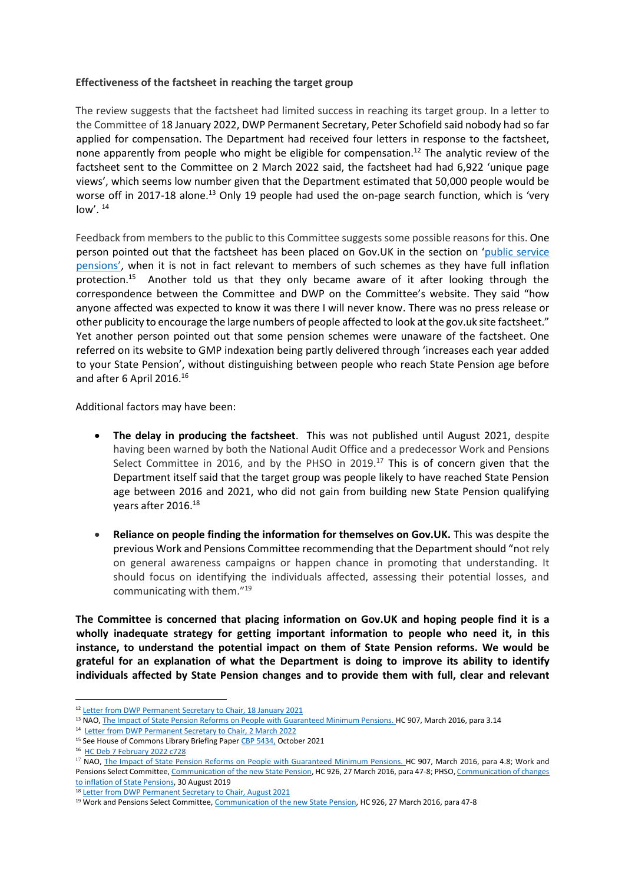### **Effectiveness of the factsheet in reaching the target group**

The review suggests that the factsheet had limited success in reaching its target group. In a letter to the Committee of 18 January 2022, DWP Permanent Secretary, Peter Schofield said nobody had so far applied for compensation. The Department had received four letters in response to the factsheet, none apparently from people who might be eligible for compensation.<sup>12</sup> The analytic review of the factsheet sent to the Committee on 2 March 2022 said, the factsheet had had 6,922 'unique page views', which seems low number given that the Department estimated that 50,000 people would be worse off in 2017-18 alone.<sup>13</sup> Only 19 people had used the on-page search function, which is 'very low'.  $14$ 

Feedback from members to the public to this Committee suggests some possible reasons for this. One person pointed out that the factsheet has been placed on Gov.UK in the section on '[public service](https://www.gov.uk/topic/work-careers/public-service-pensions)  [pensions](https://www.gov.uk/topic/work-careers/public-service-pensions)', when it is not in fact relevant to members of such schemes as they have full inflation protection.<sup>15</sup> Another told us that they only became aware of it after looking through the correspondence between the Committee and DWP on the Committee's website. They said "how anyone affected was expected to know it was there I will never know. There was no press release or other publicity to encourage the large numbers of people affected to look at the gov.uk site factsheet." Yet another person pointed out that some pension schemes were unaware of the factsheet. One referred on its website to GMP indexation being partly delivered through 'increases each year added to your State Pension', without distinguishing between people who reach State Pension age before and after 6 April 2016.<sup>16</sup>

Additional factors may have been:

- **The delay in producing the factsheet**. This was not published until August 2021, despite having been warned by both the National Audit Office and a predecessor Work and Pensions Select Committee in 2016, and by the PHSO in 2019.<sup>17</sup> This is of concern given that the Department itself said that the target group was people likely to have reached State Pension age between 2016 and 2021, who did not gain from building new State Pension qualifying years after 2016.<sup>18</sup>
- **Reliance on people finding the information for themselves on Gov.UK.** This was despite the previous Work and Pensions Committee recommending that the Department should "not rely on general awareness campaigns or happen chance in promoting that understanding. It should focus on identifying the individuals affected, assessing their potential losses, and communicating with them."<sup>19</sup>

**The Committee is concerned that placing information on Gov.UK and hoping people find it is a wholly inadequate strategy for getting important information to people who need it, in this instance, to understand the potential impact on them of State Pension reforms. We would be grateful for an explanation of what the Department is doing to improve its ability to identify individuals affected by State Pension changes and to provide them with full, clear and relevant**

<sup>14</sup> [Letter from DWP Permanent Secretary to Chair, 2 March 2022](https://committees.parliament.uk/publications/9233/documents/159928/default/)

<sup>&</sup>lt;sup>12</sup> [Letter from DWP Permanent Secretary to Chair, 18 January 2021](https://committees.parliament.uk/publications/8679/documents/88192/default/)

<sup>&</sup>lt;sup>13</sup> NAO, [The Impact of State Pension Reforms on People with Guaranteed Minimum Pensions. H](https://www.nao.org.uk/wp-content/uploads/2016/03/The-impact-of-state-pension-reforms-on-people-with-Guaranteed-Minimum-Pension.pdf#page=8)C 907, March 2016, para 3.14

<sup>&</sup>lt;sup>15</sup> See House of Commons Library Briefing Pape[r CBP 5434,](https://commonslibrary.parliament.uk/research-briefings/sn05434/) October 2021

<sup>&</sup>lt;sup>16</sup> [HC Deb 7 February 2022 c728](https://hansard.parliament.uk/Commons/2022-02-07/debates/CCBCEC9D-2179-444F-BD02-1A3ADAA3D3F3/SocialSecurityAndPensions#contribution-9EF8675D-B6CD-4346-8748-370082443403)

<sup>&</sup>lt;sup>17</sup> NAO, [The Impact of State Pension Reforms on People with Guaranteed Minimum Pensions. H](https://www.nao.org.uk/wp-content/uploads/2016/03/The-impact-of-state-pension-reforms-on-people-with-Guaranteed-Minimum-Pension.pdf#page=8)C 907, March 2016, para 4.8; Work and Pensions Select Committee[, Communication of the new State Pension,](https://publications.parliament.uk/pa/cm201516/cmselect/cmworpen/926/926.pdf) HC 926, 27 March 2016, para 47-8; PHSO, Communication of changes [to inflation of State Pensions,](https://www.ombudsman.org.uk/making-complaint/what-we-can-and-cant-help/how-we-have-helped-others/communication-changes-inflation-state-pensions) 30 August 2019

<sup>18</sup> [Letter from DWP Permanent Secretary to Chair, August 2021](https://committees.parliament.uk/publications/7061/documents/74388/default/)

<sup>&</sup>lt;sup>19</sup> Work and Pensions Select Committee[, Communication of the new State Pension,](https://publications.parliament.uk/pa/cm201516/cmselect/cmworpen/926/926.pdf) HC 926, 27 March 2016, para 47-8